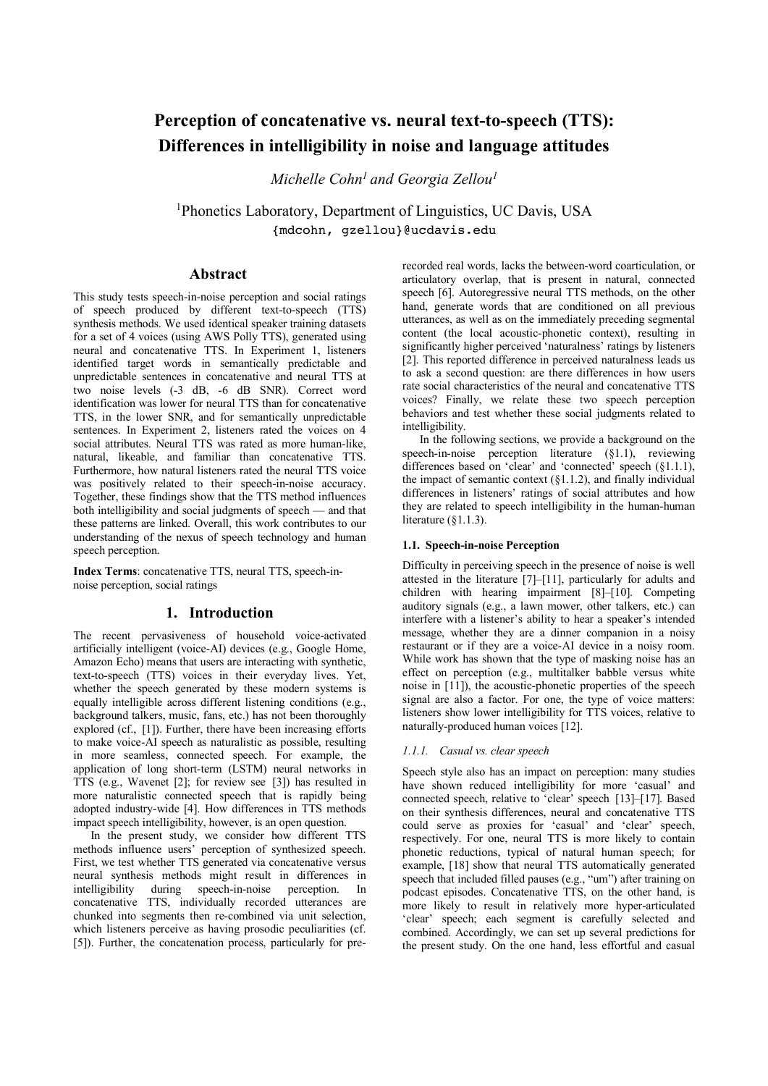# **Perception of concatenative vs. neural text-to-speech (TTS): Differences in intelligibility in noise and language attitudes**

*Michelle Cohn1 and Georgia Zellou1*

1Phonetics Laboratory, Department of Linguistics, UC Davis, USA {mdcohn, gzellou}@ucdavis.edu

## **Abstract**

This study tests speech-in-noise perception and social ratings of speech produced by different text-to-speech (TTS) synthesis methods. We used identical speaker training datasets for a set of 4 voices (using AWS Polly TTS), generated using neural and concatenative TTS. In Experiment 1, listeners identified target words in semantically predictable and unpredictable sentences in concatenative and neural TTS at two noise levels (-3 dB, -6 dB SNR). Correct word identification was lower for neural TTS than for concatenative TTS, in the lower SNR, and for semantically unpredictable sentences. In Experiment 2, listeners rated the voices on 4 social attributes. Neural TTS was rated as more human-like, natural, likeable, and familiar than concatenative TTS. Furthermore, how natural listeners rated the neural TTS voice was positively related to their speech-in-noise accuracy. Together, these findings show that the TTS method influences both intelligibility and social judgments of speech — and that these patterns are linked. Overall, this work contributes to our understanding of the nexus of speech technology and human speech perception.

**Index Terms**: concatenative TTS, neural TTS, speech-innoise perception, social ratings

# **1. Introduction**

The recent pervasiveness of household voice-activated artificially intelligent (voice-AI) devices (e.g., Google Home, Amazon Echo) means that users are interacting with synthetic, text-to-speech (TTS) voices in their everyday lives. Yet, whether the speech generated by these modern systems is equally intelligible across different listening conditions (e.g., background talkers, music, fans, etc.) has not been thoroughly explored (cf., [1]). Further, there have been increasing efforts to make voice-AI speech as naturalistic as possible, resulting in more seamless, connected speech. For example, the application of long short-term (LSTM) neural networks in TTS (e.g., Wavenet [2]; for review see [3]) has resulted in more naturalistic connected speech that is rapidly being adopted industry-wide [4]. How differences in TTS methods impact speech intelligibility, however, is an open question.

In the present study, we consider how different TTS methods influence users' perception of synthesized speech. First, we test whether TTS generated via concatenative versus neural synthesis methods might result in differences in intelligibility during speech-in-noise perception. In concatenative TTS, individually recorded utterances are chunked into segments then re-combined via unit selection, which listeners perceive as having prosodic peculiarities (cf. [5]). Further, the concatenation process, particularly for prerecorded real words, lacks the between-word coarticulation, or articulatory overlap, that is present in natural, connected speech [6]. Autoregressive neural TTS methods, on the other hand, generate words that are conditioned on all previous utterances, as well as on the immediately preceding segmental content (the local acoustic-phonetic context), resulting in significantly higher perceived 'naturalness' ratings by listeners [2]. This reported difference in perceived naturalness leads us to ask a second question: are there differences in how users rate social characteristics of the neural and concatenative TTS voices? Finally, we relate these two speech perception behaviors and test whether these social judgments related to intelligibility.

In the following sections, we provide a background on the speech-in-noise perception literature (§1.1), reviewing differences based on 'clear' and 'connected' speech (§1.1.1), the impact of semantic context  $(\S1.1.2)$ , and finally individual differences in listeners' ratings of social attributes and how they are related to speech intelligibility in the human-human literature (§1.1.3).

## **1.1. Speech-in-noise Perception**

Difficulty in perceiving speech in the presence of noise is well attested in the literature [7]–[11], particularly for adults and children with hearing impairment [8]–[10]. Competing auditory signals (e.g., a lawn mower, other talkers, etc.) can interfere with a listener's ability to hear a speaker's intended message, whether they are a dinner companion in a noisy restaurant or if they are a voice-AI device in a noisy room. While work has shown that the type of masking noise has an effect on perception (e.g., multitalker babble versus white noise in [11]), the acoustic-phonetic properties of the speech signal are also a factor. For one, the type of voice matters: listeners show lower intelligibility for TTS voices, relative to naturally-produced human voices [12].

#### *1.1.1. Casual vs. clear speech*

Speech style also has an impact on perception: many studies have shown reduced intelligibility for more 'casual' and connected speech, relative to 'clear' speech [13]–[17]. Based on their synthesis differences, neural and concatenative TTS could serve as proxies for 'casual' and 'clear' speech, respectively. For one, neural TTS is more likely to contain phonetic reductions, typical of natural human speech; for example, [18] show that neural TTS automatically generated speech that included filled pauses (e.g., "um") after training on podcast episodes. Concatenative TTS, on the other hand, is more likely to result in relatively more hyper-articulated 'clear' speech; each segment is carefully selected and combined. Accordingly, we can set up several predictions for the present study. On the one hand, less effortful and casual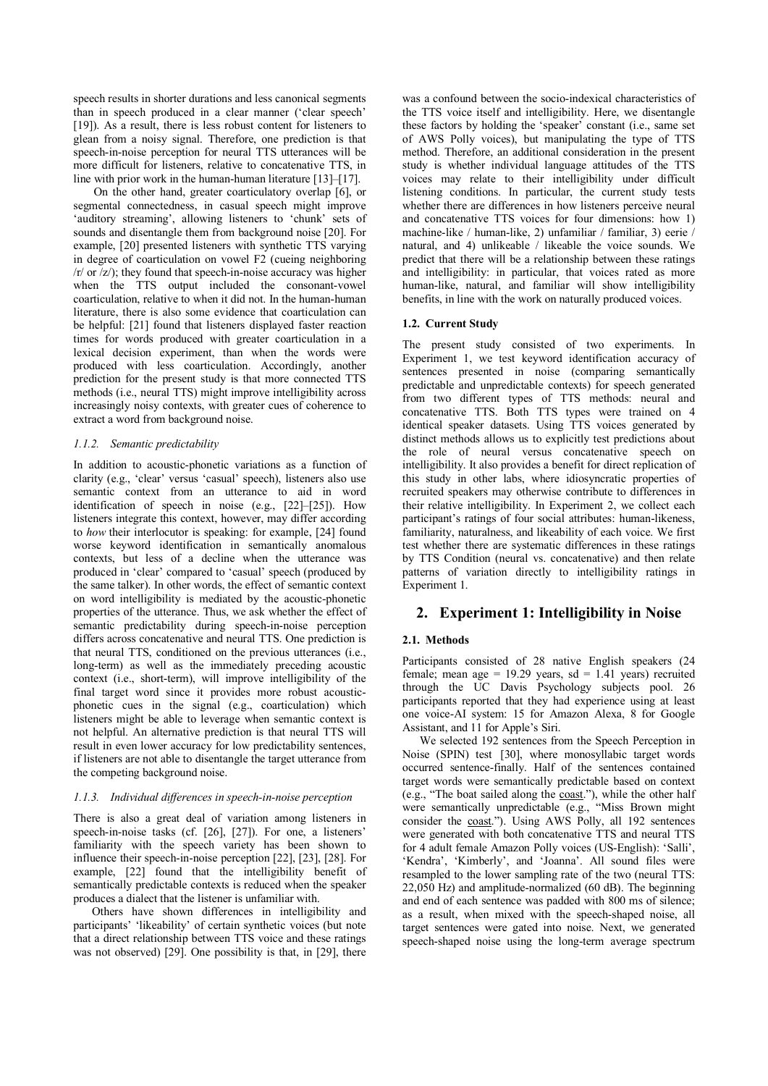speech results in shorter durations and less canonical segments than in speech produced in a clear manner ('clear speech' [19]). As a result, there is less robust content for listeners to glean from a noisy signal. Therefore, one prediction is that speech-in-noise perception for neural TTS utterances will be more difficult for listeners, relative to concatenative TTS, in line with prior work in the human-human literature [13]–[17].

On the other hand, greater coarticulatory overlap [6], or segmental connectedness, in casual speech might improve 'auditory streaming', allowing listeners to 'chunk' sets of sounds and disentangle them from background noise [20]. For example, [20] presented listeners with synthetic TTS varying in degree of coarticulation on vowel F2 (cueing neighboring /r/ or /z/); they found that speech-in-noise accuracy was higher when the TTS output included the consonant-vowel coarticulation, relative to when it did not. In the human-human literature, there is also some evidence that coarticulation can be helpful: [21] found that listeners displayed faster reaction times for words produced with greater coarticulation in a lexical decision experiment, than when the words were produced with less coarticulation. Accordingly, another prediction for the present study is that more connected TTS methods (i.e., neural TTS) might improve intelligibility across increasingly noisy contexts, with greater cues of coherence to extract a word from background noise.

## *1.1.2. Semantic predictability*

In addition to acoustic-phonetic variations as a function of clarity (e.g., 'clear' versus 'casual' speech), listeners also use semantic context from an utterance to aid in word identification of speech in noise (e.g., [22]–[25]). How listeners integrate this context, however, may differ according to *how* their interlocutor is speaking: for example, [24] found worse keyword identification in semantically anomalous contexts, but less of a decline when the utterance was produced in 'clear' compared to 'casual' speech (produced by the same talker). In other words, the effect of semantic context on word intelligibility is mediated by the acoustic-phonetic properties of the utterance. Thus, we ask whether the effect of semantic predictability during speech-in-noise perception differs across concatenative and neural TTS. One prediction is that neural TTS, conditioned on the previous utterances (i.e., long-term) as well as the immediately preceding acoustic context (i.e., short-term), will improve intelligibility of the final target word since it provides more robust acousticphonetic cues in the signal (e.g., coarticulation) which listeners might be able to leverage when semantic context is not helpful. An alternative prediction is that neural TTS will result in even lower accuracy for low predictability sentences, if listeners are not able to disentangle the target utterance from the competing background noise.

## *1.1.3. Individual differences in speech-in-noise perception*

There is also a great deal of variation among listeners in speech-in-noise tasks (cf. [26], [27]). For one, a listeners' familiarity with the speech variety has been shown to influence their speech-in-noise perception [22], [23], [28]. For example, [22] found that the intelligibility benefit of semantically predictable contexts is reduced when the speaker produces a dialect that the listener is unfamiliar with.

Others have shown differences in intelligibility and participants' 'likeability' of certain synthetic voices (but note that a direct relationship between TTS voice and these ratings was not observed) [29]. One possibility is that, in [29], there was a confound between the socio-indexical characteristics of the TTS voice itself and intelligibility. Here, we disentangle these factors by holding the 'speaker' constant (i.e., same set of AWS Polly voices), but manipulating the type of TTS method. Therefore, an additional consideration in the present study is whether individual language attitudes of the TTS voices may relate to their intelligibility under difficult listening conditions. In particular, the current study tests whether there are differences in how listeners perceive neural and concatenative TTS voices for four dimensions: how 1) machine-like / human-like, 2) unfamiliar / familiar, 3) eerie / natural, and 4) unlikeable / likeable the voice sounds. We predict that there will be a relationship between these ratings and intelligibility: in particular, that voices rated as more human-like, natural, and familiar will show intelligibility benefits, in line with the work on naturally produced voices.

## **1.2. Current Study**

The present study consisted of two experiments. In Experiment 1, we test keyword identification accuracy of sentences presented in noise (comparing semantically predictable and unpredictable contexts) for speech generated from two different types of TTS methods: neural and concatenative TTS. Both TTS types were trained on 4 identical speaker datasets. Using TTS voices generated by distinct methods allows us to explicitly test predictions about the role of neural versus concatenative speech on intelligibility. It also provides a benefit for direct replication of this study in other labs, where idiosyncratic properties of recruited speakers may otherwise contribute to differences in their relative intelligibility. In Experiment 2, we collect each participant's ratings of four social attributes: human-likeness, familiarity, naturalness, and likeability of each voice. We first test whether there are systematic differences in these ratings by TTS Condition (neural vs. concatenative) and then relate patterns of variation directly to intelligibility ratings in Experiment 1.

# **2. Experiment 1: Intelligibility in Noise**

## **2.1. Methods**

Participants consisted of 28 native English speakers (24 female; mean age = 19.29 years,  $sd = 1.41$  years) recruited through the UC Davis Psychology subjects pool. 26 participants reported that they had experience using at least one voice-AI system: 15 for Amazon Alexa, 8 for Google Assistant, and 11 for Apple's Siri.

We selected 192 sentences from the Speech Perception in Noise (SPIN) test [30], where monosyllabic target words occurred sentence-finally. Half of the sentences contained target words were semantically predictable based on context (e.g., "The boat sailed along the coast."), while the other half were semantically unpredictable (e.g., "Miss Brown might consider the coast."). Using AWS Polly, all 192 sentences were generated with both concatenative TTS and neural TTS for 4 adult female Amazon Polly voices (US-English): 'Salli', 'Kendra', 'Kimberly', and 'Joanna'. All sound files were resampled to the lower sampling rate of the two (neural TTS: 22,050 Hz) and amplitude-normalized (60 dB). The beginning and end of each sentence was padded with 800 ms of silence; as a result, when mixed with the speech-shaped noise, all target sentences were gated into noise. Next, we generated speech-shaped noise using the long-term average spectrum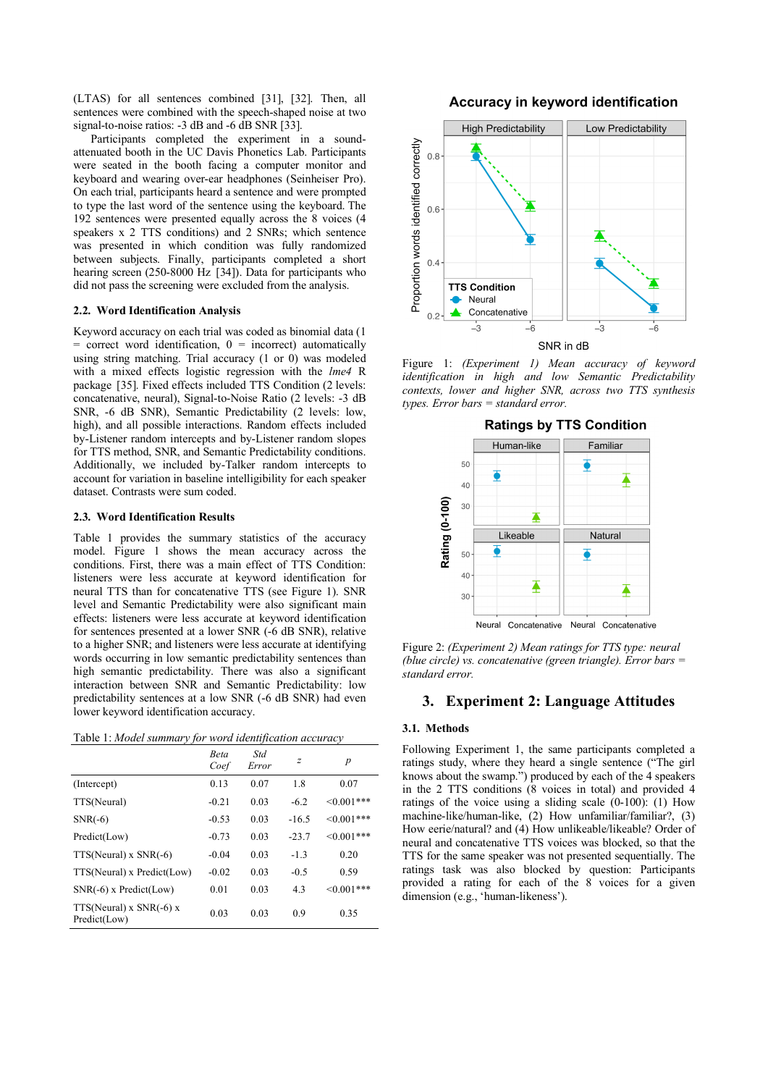(LTAS) for all sentences combined [31], [32]. Then, all sentences were combined with the speech-shaped noise at two signal-to-noise ratios: -3 dB and -6 dB SNR [33].

Participants completed the experiment in a soundattenuated booth in the UC Davis Phonetics Lab. Participants were seated in the booth facing a computer monitor and keyboard and wearing over-ear headphones (Seinheiser Pro). On each trial, participants heard a sentence and were prompted to type the last word of the sentence using the keyboard. The 192 sentences were presented equally across the 8 voices (4 speakers x 2 TTS conditions) and 2 SNRs; which sentence was presented in which condition was fully randomized between subjects. Finally, participants completed a short hearing screen (250-8000 Hz [34]). Data for participants who did not pass the screening were excluded from the analysis.

#### **2.2. Word Identification Analysis**

Keyword accuracy on each trial was coded as binomial data (1  $=$  correct word identification,  $0 =$  incorrect) automatically using string matching. Trial accuracy  $(1 \text{ or } 0)$  was modeled with a mixed effects logistic regression with the *lme4* R package [35]. Fixed effects included TTS Condition (2 levels: concatenative, neural), Signal-to-Noise Ratio (2 levels: -3 dB SNR, -6 dB SNR), Semantic Predictability (2 levels: low, high), and all possible interactions. Random effects included by-Listener random intercepts and by-Listener random slopes for TTS method, SNR, and Semantic Predictability conditions. Additionally, we included by-Talker random intercepts to account for variation in baseline intelligibility for each speaker dataset. Contrasts were sum coded.

#### **2.3. Word Identification Results**

Table 1 provides the summary statistics of the accuracy model. Figure 1 shows the mean accuracy across the conditions. First, there was a main effect of TTS Condition: listeners were less accurate at keyword identification for neural TTS than for concatenative TTS (see Figure 1). SNR level and Semantic Predictability were also significant main effects: listeners were less accurate at keyword identification for sentences presented at a lower SNR (-6 dB SNR), relative to a higher SNR; and listeners were less accurate at identifying words occurring in low semantic predictability sentences than high semantic predictability. There was also a significant interaction between SNR and Semantic Predictability: low predictability sentences at a low SNR (-6 dB SNR) had even lower keyword identification accuracy.

|  | Table 1: Model summary for word identification accuracy |  |  |  |
|--|---------------------------------------------------------|--|--|--|
|  |                                                         |  |  |  |

| $\cdot$ . $\cdot$ $\cdot$                   | Beta<br>Coef | Std<br>Error | $\mathcal{Z}_{\mathcal{L}}$ | p           |
|---------------------------------------------|--------------|--------------|-----------------------------|-------------|
| (Intercept)                                 | 0.13         | 0.07         | 1.8                         | 0.07        |
| TTS(Neural)                                 | $-0.21$      | 0.03         | $-6.2$                      | $<0.001***$ |
| $SNR(-6)$                                   | $-0.53$      | 0.03         | $-16.5$                     | $<0.001***$ |
| Predict(Low)                                | $-0.73$      | 0.03         | $-23.7$                     | $<0.001***$ |
| $TTS(Neural)$ x $SNR(-6)$                   | $-0.04$      | 0.03         | $-1.3$                      | 0.20        |
| TTS(Neural) x Predict(Low)                  | $-0.02$      | 0.03         | $-0.5$                      | 0.59        |
| $SNR(-6)$ x Predict(Low)                    | 0.01         | 0.03         | 4.3                         | $<0.001***$ |
| $TTS(Neural)$ x $SNR(-6)$ x<br>Predict(Low) | 0.03         | 0.03         | 0.9                         | 0.35        |

## Accuracy in keyword identification



Figure 1: *(Experiment 1) Mean accuracy of keyword identification in high and low Semantic Predictability contexts, lower and higher SNR, across two TTS synthesis types. Error bars = standard error.*



Figure 2: *(Experiment 2) Mean ratings for TTS type: neural (blue circle) vs. concatenative (green triangle). Error bars = standard error.*

## **3. Experiment 2: Language Attitudes**

#### **3.1. Methods**

Following Experiment 1, the same participants completed a ratings study, where they heard a single sentence ("The girl knows about the swamp.") produced by each of the 4 speakers in the 2 TTS conditions (8 voices in total) and provided 4 ratings of the voice using a sliding scale (0-100): (1) How machine-like/human-like, (2) How unfamiliar/familiar?, (3) How eerie/natural? and (4) How unlikeable/likeable? Order of neural and concatenative TTS voices was blocked, so that the TTS for the same speaker was not presented sequentially. The ratings task was also blocked by question: Participants provided a rating for each of the 8 voices for a given dimension (e.g., 'human-likeness').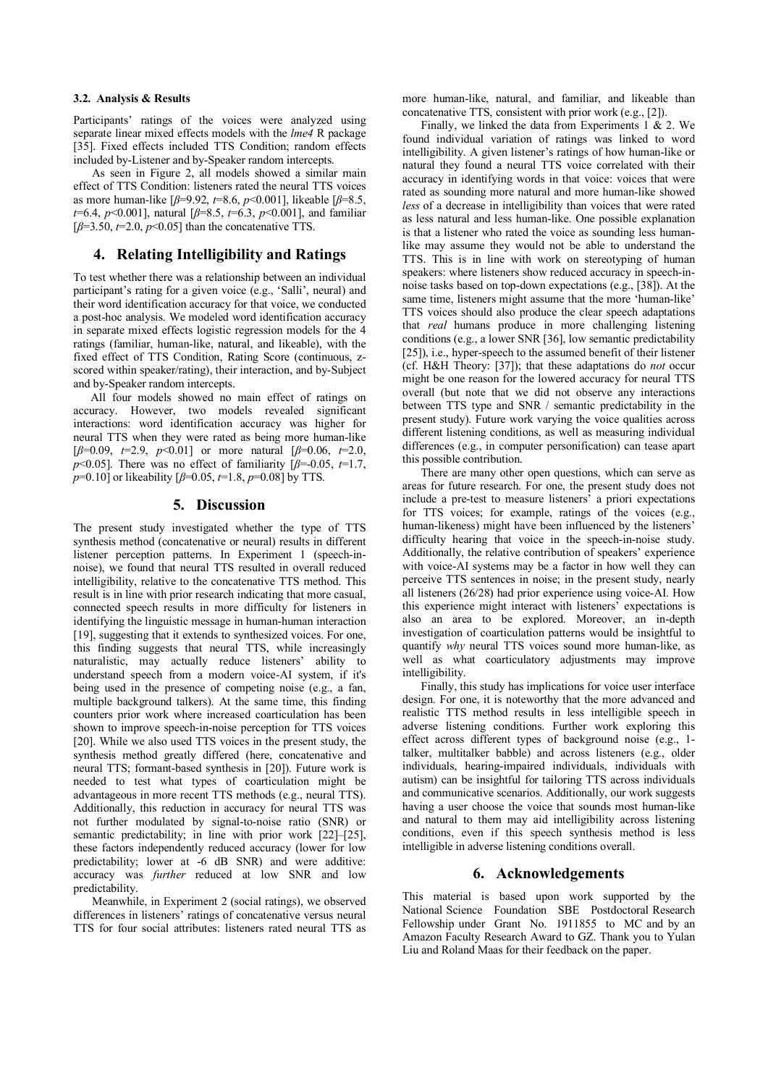#### **3.2. Analysis & Results**

Participants' ratings of the voices were analyzed using separate linear mixed effects models with the *lme4* R package [35]. Fixed effects included TTS Condition; random effects included by-Listener and by-Speaker random intercepts.

As seen in Figure 2, all models showed a similar main effect of TTS Condition: listeners rated the neural TTS voices as more human-like [*β*=9.92, *t*=8.6, *p*<0.001], likeable [*β*=8.5, *t*=6.4, *p*<0.001], natural [*β*=8.5, *t*=6.3, *p*<0.001], and familiar  $[\beta=3.50, t=2.0, p<0.05]$  than the concatenative TTS.

# **4. Relating Intelligibility and Ratings**

To test whether there was a relationship between an individual participant's rating for a given voice (e.g., 'Salli', neural) and their word identification accuracy for that voice, we conducted a post-hoc analysis. We modeled word identification accuracy in separate mixed effects logistic regression models for the 4 ratings (familiar, human-like, natural, and likeable), with the fixed effect of TTS Condition, Rating Score (continuous, zscored within speaker/rating), their interaction, and by-Subject and by-Speaker random intercepts.

All four models showed no main effect of ratings on accuracy. However, two models revealed significant interactions: word identification accuracy was higher for neural TTS when they were rated as being more human-like [*β*=0.09, *t*=2.9, *p*<0.01] or more natural [*β*=0.06, *t*=2.0, *p*<0.05]. There was no effect of familiarity  $\beta$ =-0.05, *t*=1.7, *p*=0.10] or likeability [*β*=0.05, *t*=1.8, *p*=0.08] by TTS.

# **5. Discussion**

The present study investigated whether the type of TTS synthesis method (concatenative or neural) results in different listener perception patterns. In Experiment 1 (speech-innoise), we found that neural TTS resulted in overall reduced intelligibility, relative to the concatenative TTS method. This result is in line with prior research indicating that more casual, connected speech results in more difficulty for listeners in identifying the linguistic message in human-human interaction [19], suggesting that it extends to synthesized voices. For one, this finding suggests that neural TTS, while increasingly naturalistic, may actually reduce listeners' ability to understand speech from a modern voice-AI system, if it's being used in the presence of competing noise (e.g., a fan, multiple background talkers). At the same time, this finding counters prior work where increased coarticulation has been shown to improve speech-in-noise perception for TTS voices [20]. While we also used TTS voices in the present study, the synthesis method greatly differed (here, concatenative and neural TTS; formant-based synthesis in [20]). Future work is needed to test what types of coarticulation might be advantageous in more recent TTS methods (e.g., neural TTS). Additionally, this reduction in accuracy for neural TTS was not further modulated by signal-to-noise ratio (SNR) or semantic predictability; in line with prior work [22]–[25], these factors independently reduced accuracy (lower for low predictability; lower at -6 dB SNR) and were additive: accuracy was *further* reduced at low SNR and low predictability.

Meanwhile, in Experiment 2 (social ratings), we observed differences in listeners' ratings of concatenative versus neural TTS for four social attributes: listeners rated neural TTS as more human-like, natural, and familiar, and likeable than concatenative TTS, consistent with prior work (e.g., [2]).

Finally, we linked the data from Experiments 1 & 2. We found individual variation of ratings was linked to word intelligibility. A given listener's ratings of how human-like or natural they found a neural TTS voice correlated with their accuracy in identifying words in that voice: voices that were rated as sounding more natural and more human-like showed *less* of a decrease in intelligibility than voices that were rated as less natural and less human-like. One possible explanation is that a listener who rated the voice as sounding less humanlike may assume they would not be able to understand the TTS. This is in line with work on stereotyping of human speakers: where listeners show reduced accuracy in speech-innoise tasks based on top-down expectations (e.g., [38]). At the same time, listeners might assume that the more 'human-like' TTS voices should also produce the clear speech adaptations that *real* humans produce in more challenging listening conditions (e.g., a lower SNR [36], low semantic predictability [25]), i.e., hyper-speech to the assumed benefit of their listener (cf. H&H Theory: [37]); that these adaptations do *not* occur might be one reason for the lowered accuracy for neural TTS overall (but note that we did not observe any interactions between TTS type and SNR / semantic predictability in the present study). Future work varying the voice qualities across different listening conditions, as well as measuring individual differences (e.g., in computer personification) can tease apart this possible contribution.

There are many other open questions, which can serve as areas for future research. For one, the present study does not include a pre-test to measure listeners' a priori expectations for TTS voices; for example, ratings of the voices (e.g., human-likeness) might have been influenced by the listeners' difficulty hearing that voice in the speech-in-noise study. Additionally, the relative contribution of speakers' experience with voice-AI systems may be a factor in how well they can perceive TTS sentences in noise; in the present study, nearly all listeners (26/28) had prior experience using voice-AI. How this experience might interact with listeners' expectations is also an area to be explored. Moreover, an in-depth investigation of coarticulation patterns would be insightful to quantify *why* neural TTS voices sound more human-like, as well as what coarticulatory adjustments may improve intelligibility.

Finally, this study has implications for voice user interface design. For one, it is noteworthy that the more advanced and realistic TTS method results in less intelligible speech in adverse listening conditions. Further work exploring this effect across different types of background noise (e.g., 1 talker, multitalker babble) and across listeners (e.g., older individuals, hearing-impaired individuals, individuals with autism) can be insightful for tailoring TTS across individuals and communicative scenarios. Additionally, our work suggests having a user choose the voice that sounds most human-like and natural to them may aid intelligibility across listening conditions, even if this speech synthesis method is less intelligible in adverse listening conditions overall.

# **6. Acknowledgements**

This material is based upon work supported by the National Science Foundation SBE Postdoctoral Research Fellowship under Grant No. 1911855 to MC and by an Amazon Faculty Research Award to GZ. Thank you to Yulan Liu and Roland Maas for their feedback on the paper.